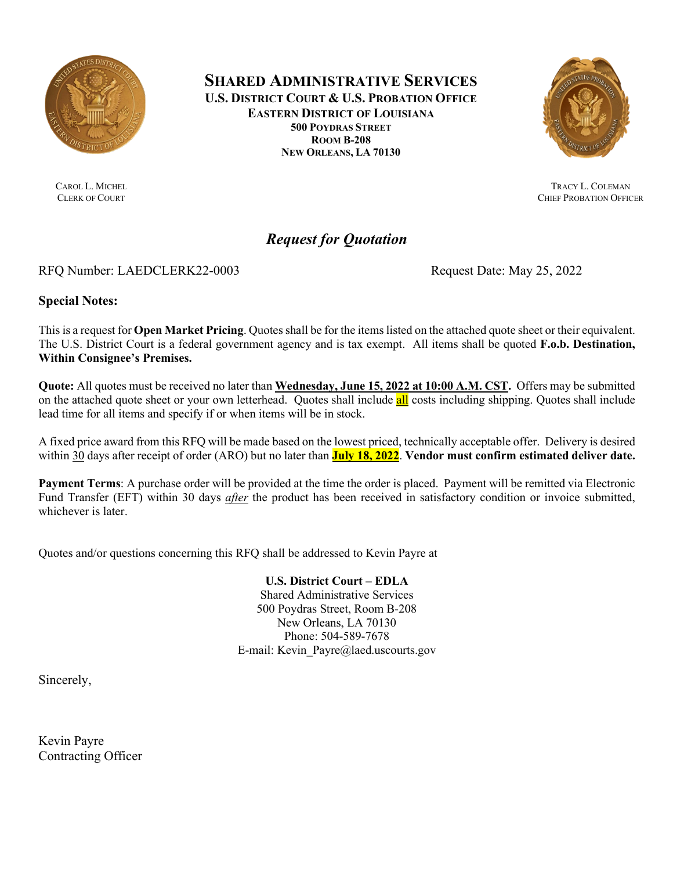

CAROL L. MICHEL CLERK OF COURT

**SHARED ADMINISTRATIVE SERVICES U.S. DISTRICT COURT & U.S. PROBATION OFFICE EASTERN DISTRICT OF LOUISIANA 500 POYDRAS STREET ROOM B-208 NEW ORLEANS, LA 70130**



TRACY L. COLEMAN CHIEF PROBATION OFFICER

# *Request for Quotation*

## RFQ Number: LAEDCLERK22-0003 Request Date: May 25, 2022

**Special Notes:**

This is a request for **Open Market Pricing**. Quotes shall be for the items listed on the attached quote sheet or their equivalent. The U.S. District Court is a federal government agency and is tax exempt. All items shall be quoted **F.o.b. Destination, Within Consignee's Premises.**

**Quote:** All quotes must be received no later than **Wednesday, June 15, 2022 at 10:00 A.M. CST.** Offers may be submitted on the attached quote sheet or your own letterhead. Quotes shall include all costs including shipping. Quotes shall include lead time for all items and specify if or when items will be in stock.

A fixed price award from this RFQ will be made based on the lowest priced, technically acceptable offer. Delivery is desired within 30 days after receipt of order (ARO) but no later than **July 18, 2022**. **Vendor must confirm estimated deliver date.**

**Payment Terms**: A purchase order will be provided at the time the order is placed. Payment will be remitted via Electronic Fund Transfer (EFT) within 30 days *after* the product has been received in satisfactory condition or invoice submitted, whichever is later.

Quotes and/or questions concerning this RFQ shall be addressed to Kevin Payre at

**U.S. District Court – EDLA**

Shared Administrative Services 500 Poydras Street, Room B-208 New Orleans, LA 70130 Phone: 504-589-7678 E-mail: Kevin\_Payre@laed.uscourts.gov

Sincerely,

Kevin Payre Contracting Officer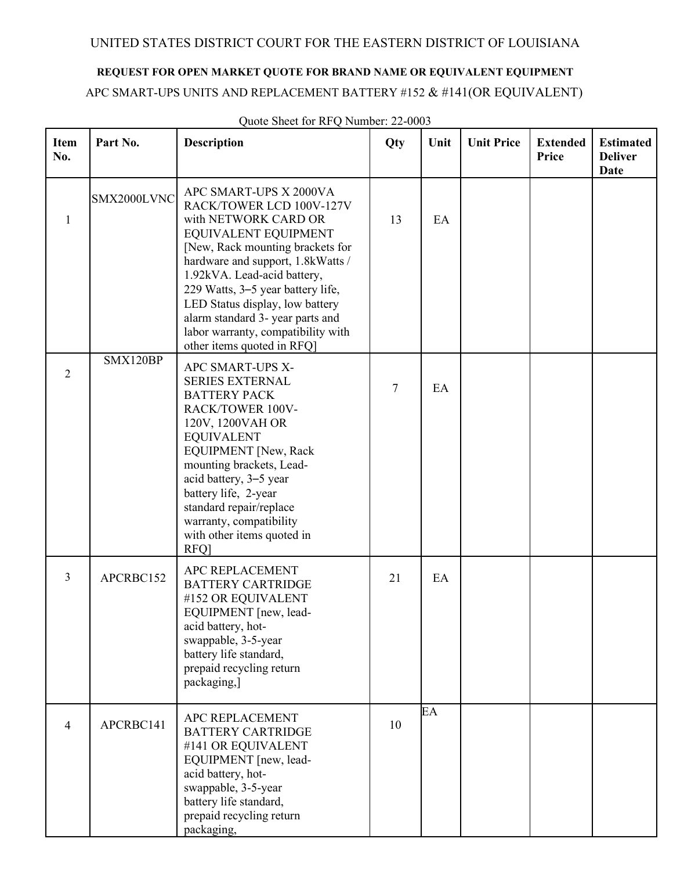## UNITED STATES DISTRICT COURT FOR THE EASTERN DISTRICT OF LOUISIANA

# **REQUEST FOR OPEN MARKET QUOTE FOR BRAND NAME OR EQUIVALENT EQUIPMENT**

## APC SMART-UPS UNITS AND REPLACEMENT BATTERY #152 & #141(OR EQUIVALENT)

| <b>Item</b><br>No. | Part No.    | <b>Description</b>                                                                                                                                                                                                                                                                                                                                                                         | Qty | Unit | <b>Unit Price</b> | <b>Extended</b><br>Price | <b>Estimated</b><br><b>Deliver</b><br><b>Date</b> |
|--------------------|-------------|--------------------------------------------------------------------------------------------------------------------------------------------------------------------------------------------------------------------------------------------------------------------------------------------------------------------------------------------------------------------------------------------|-----|------|-------------------|--------------------------|---------------------------------------------------|
| 1                  | SMX2000LVNC | APC SMART-UPS X 2000VA<br>RACK/TOWER LCD 100V-127V<br>with NETWORK CARD OR<br>EQUIVALENT EQUIPMENT<br>[New, Rack mounting brackets for<br>hardware and support, 1.8kWatts /<br>1.92kVA. Lead-acid battery,<br>229 Watts, 3-5 year battery life,<br>LED Status display, low battery<br>alarm standard 3- year parts and<br>labor warranty, compatibility with<br>other items quoted in RFQ] | 13  | EA   |                   |                          |                                                   |
| $\overline{2}$     | SMX120BP    | APC SMART-UPS X-<br><b>SERIES EXTERNAL</b><br><b>BATTERY PACK</b><br>RACK/TOWER 100V-<br>120V, 1200VAH OR<br><b>EQUIVALENT</b><br><b>EQUIPMENT</b> [New, Rack<br>mounting brackets, Lead-<br>acid battery, 3-5 year<br>battery life, 2-year<br>standard repair/replace<br>warranty, compatibility<br>with other items quoted in<br>RFQ]                                                    | 7   | EA   |                   |                          |                                                   |
| 3                  | APCRBC152   | APC REPLACEMENT<br><b>BATTERY CARTRIDGE</b><br>#152 OR EQUIVALENT<br>EQUIPMENT [new, lead-<br>acid battery, hot-<br>swappable, 3-5-year<br>battery life standard,<br>prepaid recycling return<br>packaging,]                                                                                                                                                                               | 21  | EA   |                   |                          |                                                   |
| $\overline{4}$     | APCRBC141   | APC REPLACEMENT<br><b>BATTERY CARTRIDGE</b><br>#141 OR EQUIVALENT<br>EQUIPMENT [new, lead-<br>acid battery, hot-<br>swappable, 3-5-year<br>battery life standard,<br>prepaid recycling return<br>packaging,                                                                                                                                                                                | 10  | EA   |                   |                          |                                                   |

Quote Sheet for RFQ Number: 22-0003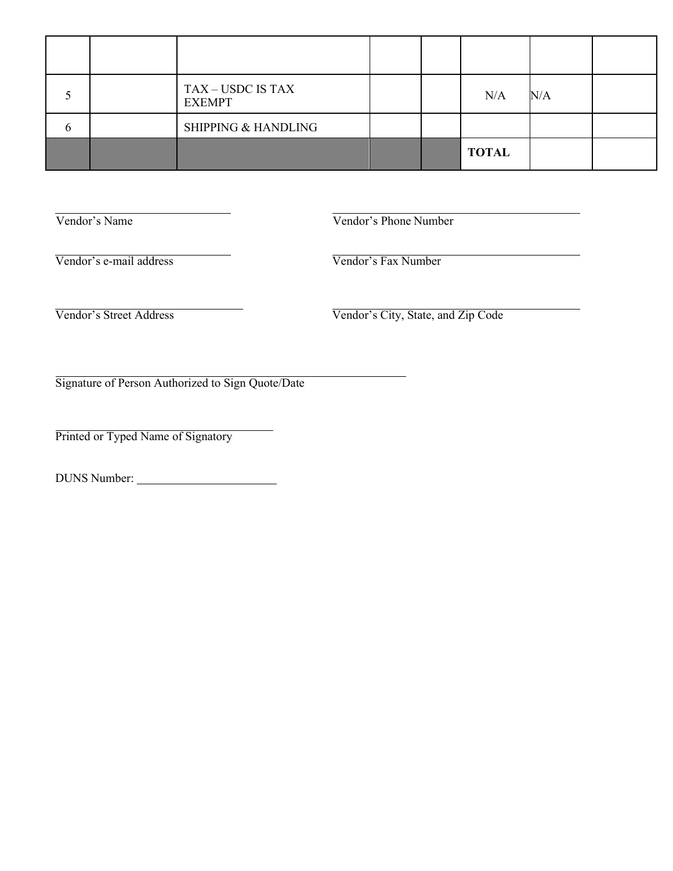|   | TAX – USDC IS TAX<br><b>EXEMPT</b> |  | N/A          | N/A |  |
|---|------------------------------------|--|--------------|-----|--|
| b | <b>SHIPPING &amp; HANDLING</b>     |  |              |     |  |
|   |                                    |  | <b>TOTAL</b> |     |  |

Vendor's Name Vendor's Phone Number

Vendor's e-mail address Vendor's Fax Number

Vendor's Street Address **Vendor's City**, State, and Zip Code

Signature of Person Authorized to Sign Quote/Date

Printed or Typed Name of Signatory

DUNS Number: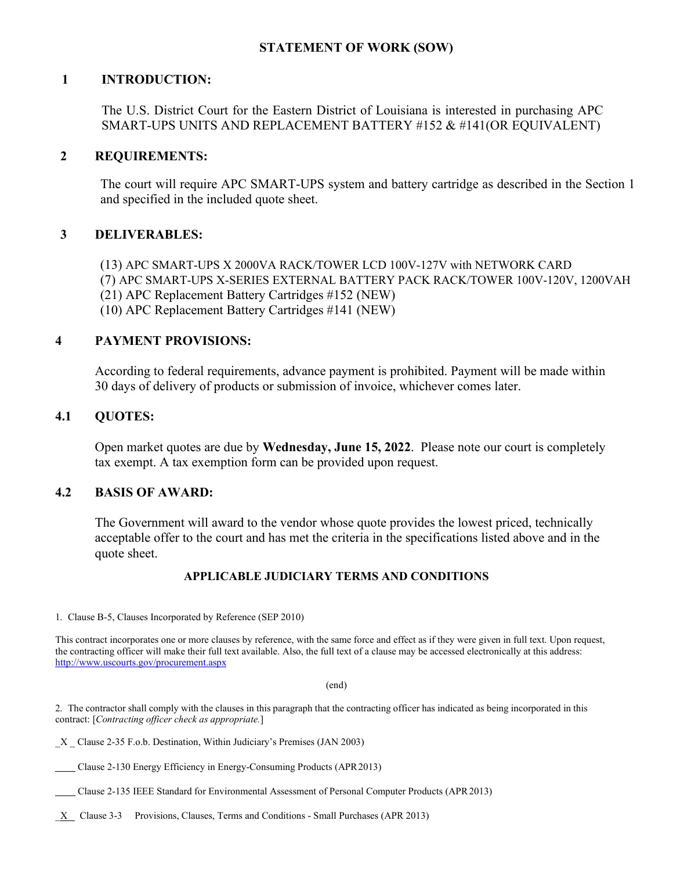## **STATEMENT OF WORK (SOW)**

### **1 INTRODUCTION:**

The U.S. District Court for the Eastern District of Louisiana is interested in purchasing APC SMART-UPS UNITS AND REPLACEMENT BATTERY #152 & #141(OR EQUIVALENT)

#### **2 REQUIREMENTS:**

The court will require APC SMART-UPS system and battery cartridge as described in the Section 1 and specified in the included quote sheet.

### **3 DELIVERABLES:**

(13) APC SMART-UPS X 2000VA RACK/TOWER LCD 100V-127V with NETWORK CARD

(7) APC SMART-UPS X-SERIES EXTERNAL BATTERY PACK RACK/TOWER 100V-120V, 1200VAH

(21) APC Replacement Battery Cartridges #152 (NEW)

(10) APC Replacement Battery Cartridges #141 (NEW)

### **4 PAYMENT PROVISIONS:**

According to federal requirements, advance payment is prohibited. Payment will be made within 30 days of delivery of products or submission of invoice, whichever comes later.

#### **4.1 QUOTES:**

Open market quotes are due by **Wednesday, June 15, 2022**. Please note our court is completely tax exempt. A tax exemption form can be provided upon request.

#### **4.2 BASIS OF AWARD:**

The Government will award to the vendor whose quote provides the lowest priced, technically acceptable offer to the court and has met the criteria in the specifications listed above and in the quote sheet.

#### **APPLICABLE JUDICIARY TERMS AND CONDITIONS**

1. Clause B-5, Clauses Incorporated by Reference (SEP 2010)

This contract incorporates one or more clauses by reference, with the same force and effect as if they were given in full text. Upon request, the contracting officer will make their full text available. Also, the full text of a clause may be accessed electronically at this address: <http://www.uscourts.gov/procurement.aspx>

(end)

2. The contractor shall comply with the clauses in this paragraph that the contracting officer has indicated as being incorporated in this contract: [*Contracting officer check as appropriate.*]

X Clause 2-35 F.o.b. Destination, Within Judiciary's Premises (JAN 2003)

Clause 2-130 Energy Efficiency in Energy-Consuming Products (APR2013)

Clause 2-135 IEEE Standard for Environmental Assessment of Personal Computer Products (APR2013)

 $X$  Clause 3-3 Provisions, Clauses, Terms and Conditions - Small Purchases (APR 2013)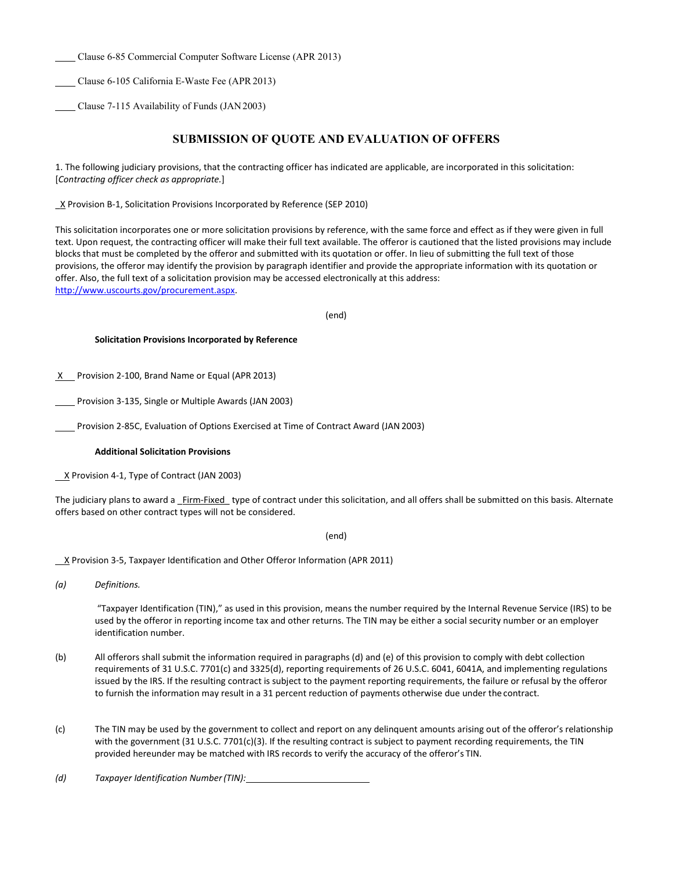Clause 6-85 Commercial Computer Software License (APR 2013)

Clause 6-105 California E-Waste Fee (APR 2013)

Clause 7-115 Availability of Funds (JAN2003)

#### **SUBMISSION OF QUOTE AND EVALUATION OF OFFERS**

1. The following judiciary provisions, that the contracting officer has indicated are applicable, are incorporated in this solicitation: [*Contracting officer check as appropriate.*]

\_X Provision B-1, Solicitation Provisions Incorporated by Reference (SEP 2010)

This solicitation incorporates one or more solicitation provisions by reference, with the same force and effect as if they were given in full text. Upon request, the contracting officer will make their full text available. The offeror is cautioned that the listed provisions may include blocks that must be completed by the offeror and submitted with its quotation or offer. In lieu of submitting the full text of those provisions, the offeror may identify the provision by paragraph identifier and provide the appropriate information with its quotation or offer. Also, the full text of a solicitation provision may be accessed electronically at this address: [http://www.uscourts.gov/procurement.aspx.](http://www.uscourts.gov/procurement.aspx)

(end)

#### **Solicitation Provisions Incorporated by Reference**

 $X$  Provision 2-100, Brand Name or Equal (APR 2013)

Provision 3-135, Single or Multiple Awards (JAN 2003)

Provision 2-85C, Evaluation of Options Exercised at Time of Contract Award (JAN 2003)

#### **Additional Solicitation Provisions**

X Provision 4-1, Type of Contract (JAN 2003)

The judiciary plans to award a \_Firm-Fixed\_ type of contract under this solicitation, and all offers shall be submitted on this basis. Alternate offers based on other contract types will not be considered.

(end)

X Provision 3-5, Taxpayer Identification and Other Offeror Information (APR 2011)

*(a) Definitions.*

"Taxpayer Identification (TIN)," as used in this provision, means the number required by the Internal Revenue Service (IRS) to be used by the offeror in reporting income tax and other returns. The TIN may be either a social security number or an employer identification number.

- (b) All offerors shall submit the information required in paragraphs (d) and (e) of this provision to comply with debt collection requirements of 31 U.S.C. 7701(c) and 3325(d), reporting requirements of 26 U.S.C. 6041, 6041A, and implementing regulations issued by the IRS. If the resulting contract is subject to the payment reporting requirements, the failure or refusal by the offeror to furnish the information may result in a 31 percent reduction of payments otherwise due under the contract.
- (c) The TIN may be used by the government to collect and report on any delinquent amounts arising out of the offeror's relationship with the government (31 U.S.C. 7701(c)(3). If the resulting contract is subject to payment recording requirements, the TIN provided hereunder may be matched with IRS records to verify the accuracy of the offeror's TIN.

*(d) Taxpayer Identification Number(TIN):*